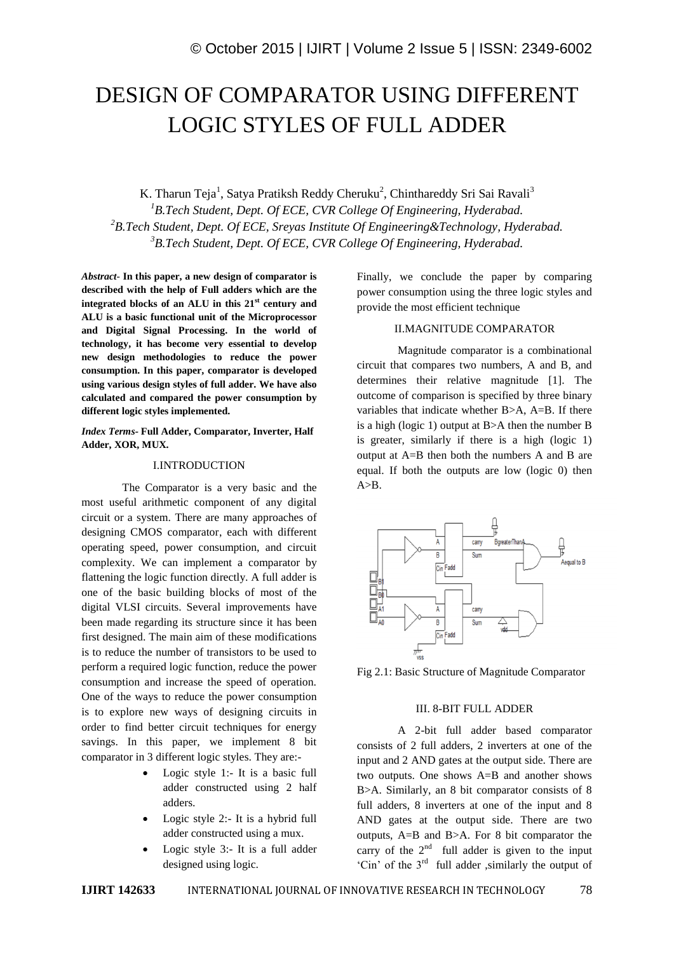# DESIGN OF COMPARATOR USING DIFFERENT LOGIC STYLES OF FULL ADDER

K. Tharun Teja<sup>1</sup>, Satya Pratiksh Reddy Cheruku<sup>2</sup>, Chinthareddy Sri Sai Ravali<sup>3</sup> *B.Tech Student, Dept. Of ECE, CVR College Of Engineering, Hyderabad. B.Tech Student, Dept. Of ECE, Sreyas Institute Of Engineering&Technology, Hyderabad. B.Tech Student, Dept. Of ECE, CVR College Of Engineering, Hyderabad.*

*Abstract*- **In this paper, a new design of comparator is described with the help of Full adders which are the integrated blocks of an ALU in this 21st century and ALU is a basic functional unit of the Microprocessor and Digital Signal Processing. In the world of technology, it has become very essential to develop new design methodologies to reduce the power consumption. In this paper, comparator is developed using various design styles of full adder. We have also calculated and compared the power consumption by different logic styles implemented.**

*Index Terms-* **Full Adder, Comparator, Inverter, Half Adder, XOR, MUX.**

### I.INTRODUCTION

The Comparator is a very basic and the most useful arithmetic component of any digital circuit or a system. There are many approaches of designing CMOS comparator, each with different operating speed, power consumption, and circuit complexity. We can implement a comparator by flattening the logic function directly. A full adder is one of the basic building blocks of most of the digital VLSI circuits. Several improvements have been made regarding its structure since it has been first designed. The main aim of these modifications is to reduce the number of transistors to be used to perform a required logic function, reduce the power consumption and increase the speed of operation. One of the ways to reduce the power consumption is to explore new ways of designing circuits in order to find better circuit techniques for energy savings. In this paper, we implement 8 bit comparator in 3 different logic styles. They are:-

- Logic style 1:- It is a basic full adder constructed using 2 half adders.
- Logic style 2:- It is a hybrid full adder constructed using a mux.
- Logic style 3:- It is a full adder designed using logic.

Finally, we conclude the paper by comparing power consumption using the three logic styles and provide the most efficient technique

## II.MAGNITUDE COMPARATOR

Magnitude comparator is a combinational circuit that compares two numbers, A and B, and determines their relative magnitude [1]. The outcome of comparison is specified by three binary variables that indicate whether B>A, A=B. If there is a high (logic 1) output at  $B>A$  then the number  $B$ is greater, similarly if there is a high (logic 1) output at A=B then both the numbers A and B are equal. If both the outputs are low (logic 0) then  $A>B$ .



Fig 2.1: Basic Structure of Magnitude Comparator

### III. 8-BIT FULL ADDER

A 2-bit full adder based comparator consists of 2 full adders, 2 inverters at one of the input and 2 AND gates at the output side. There are two outputs. One shows A=B and another shows B>A. Similarly, an 8 bit comparator consists of 8 full adders, 8 inverters at one of the input and 8 AND gates at the output side. There are two outputs, A=B and B>A. For 8 bit comparator the carry of the  $2<sup>nd</sup>$  full adder is given to the input 'Cin' of the 3rd full adder ,similarly the output of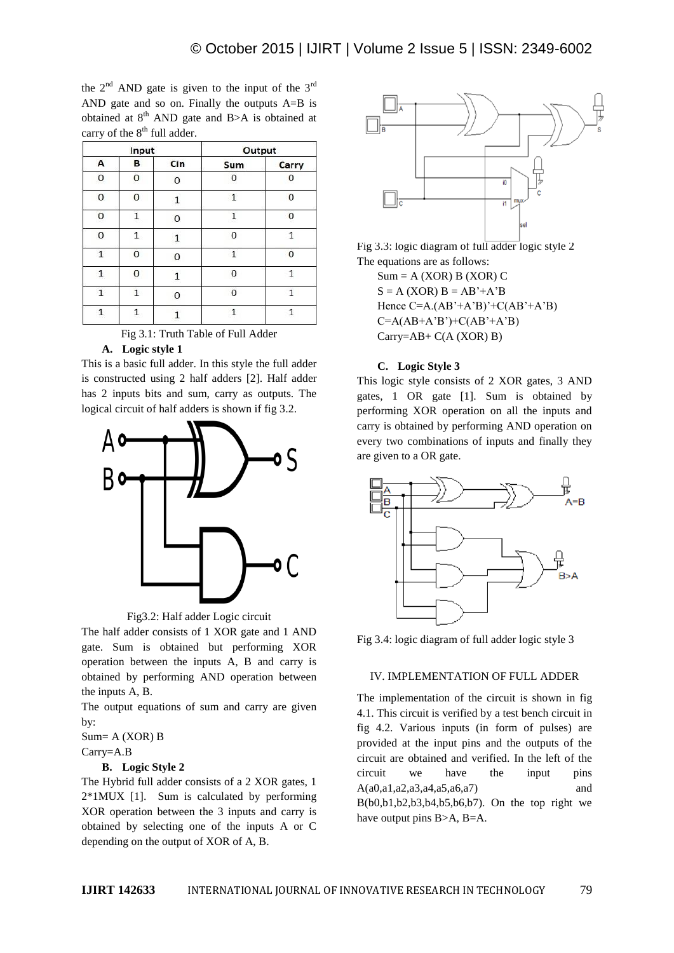the  $2<sup>nd</sup>$  AND gate is given to the input of the  $3<sup>rd</sup>$ AND gate and so on. Finally the outputs A=B is obtained at  $8<sup>th</sup>$  AND gate and B>A is obtained at carry of the  $8<sup>th</sup>$  full adder.

| Input        |                |          | Output       |          |
|--------------|----------------|----------|--------------|----------|
| A            | в              | Cin      | Sum          | Carry    |
| 0            | $\bf{0}$       | 0        | 0            |          |
| 0            | 0              | 1        | $\mathbf{1}$ | $\Omega$ |
| 0            | $\overline{1}$ | $\Omega$ | 1            | $\Omega$ |
| 0            | $\mathbf{1}$   | 1        | 0            | 1        |
| $\mathbf{1}$ | 0              | 0        | $\mathbf{1}$ | $\Omega$ |
| 1            | 0              | 1        | $\Omega$     | 1        |
| $\mathbf{1}$ | $\mathbf{1}$   | 0        | 0            | 1        |
| $\mathbf 1$  | $\mathbf{1}$   |          | 1            | 1        |



### **A. Logic style 1**

This is a basic full adder. In this style the full adder is constructed using 2 half adders [2]. Half adder has 2 inputs bits and sum, carry as outputs. The logical circuit of half adders is shown if fig 3.2.





The half adder consists of 1 XOR gate and 1 AND gate. Sum is obtained but performing XOR operation between the inputs A, B and carry is obtained by performing AND operation between the inputs A, B.

The output equations of sum and carry are given by:

Sum= A (XOR) B Carry=A.B

### **B. Logic Style 2**

The Hybrid full adder consists of a 2 XOR gates, 1 2\*1MUX [1]. Sum is calculated by performing XOR operation between the 3 inputs and carry is obtained by selecting one of the inputs A or C depending on the output of XOR of A, B.



Fig 3.3: logic diagram of full adder logic style 2 The equations are as follows:

 $Sum = A (XOR) B (XOR) C$  $S = A (XOR) B = AB' + A'B$ Hence  $C=A.(AB'+A'B)'+C(AB'+A'B)$  $C=A(AB+A'B')+C(AB'+A'B)$ Carry=AB+ C(A (XOR) B)

### **C. Logic Style 3**

This logic style consists of 2 XOR gates, 3 AND gates, 1 OR gate [1]. Sum is obtained by performing XOR operation on all the inputs and carry is obtained by performing AND operation on every two combinations of inputs and finally they are given to a OR gate.



Fig 3.4: logic diagram of full adder logic style 3

### IV. IMPLEMENTATION OF FULL ADDER

The implementation of the circuit is shown in fig 4.1. This circuit is verified by a test bench circuit in fig 4.2. Various inputs (in form of pulses) are provided at the input pins and the outputs of the circuit are obtained and verified. In the left of the circuit we have the input pins A(a0,a1,a2,a3,a4,a5,a6,a7) and B(b0,b1,b2,b3,b4,b5,b6,b7). On the top right we have output pins B>A, B=A.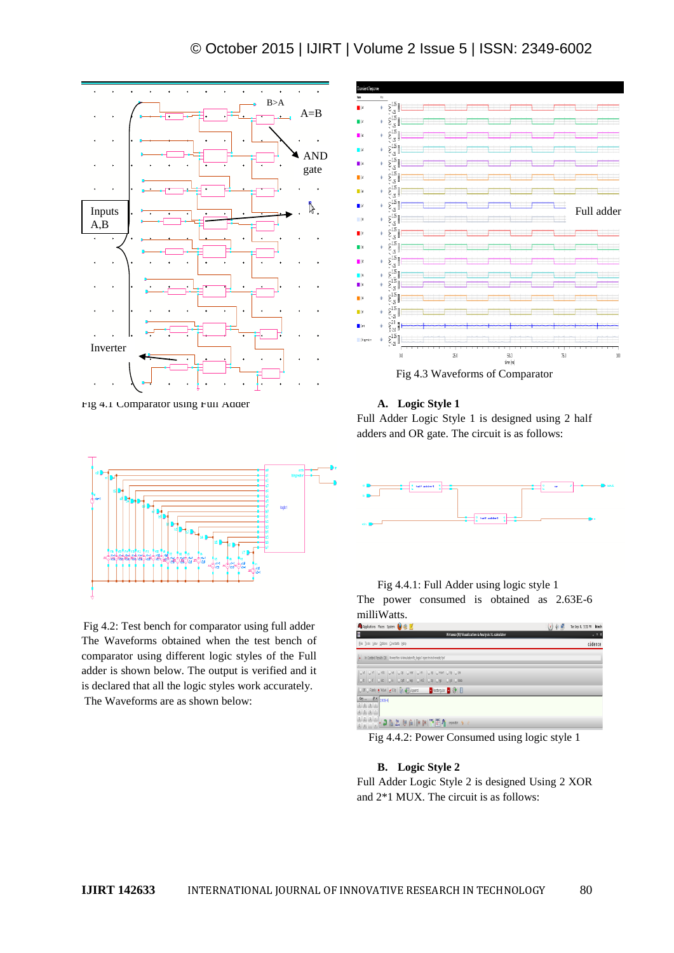# © October 2015 | IJIRT | Volume 2 Issue 5 | ISSN: 2349-6002



Fig 4.1 Comparator using Full Adder



Fig 4.2: Test bench for comparator using full adder The Waveforms obtained when the test bench of comparator using different logic styles of the Full adder is shown below. The output is verified and it is declared that all the logic styles work accurately. The Waveforms are as shown below:



**A. Logic Style 1**

Full Adder Logic Style 1 is designed using 2 half adders and OR gate. The circuit is as follows:



# Fig 4.4.1: Full Adder using logic style 1 The power consumed is obtained as 2.63E-6 milliWatts.

| Applications Places System (3) 2 2                                                                              | (1) 中島 | Tue Sep 8, 5:31 PM btech |
|-----------------------------------------------------------------------------------------------------------------|--------|--------------------------|
| R<br>Virtuoso (R) Visualization & Analysis XL calculator                                                        |        | $-0X$                    |
| File Tools View Options Constants Help                                                                          |        | cädence                  |
| In Conted Results DB: /howe/blech/sinutation/b_jogic1/spectre/schematic/psf                                     |        |                          |
| Ovt   Ovf   Ovst   Ovs   Ovp   Ovar   Ovn   Osp   Ovswr   Otp   Ozn<br>Of Off Olds One One One One Opp One Odds |        |                          |
| Of O Fanly C Wave   2 Cip   Uy   El Append   V   Reclangular     @   El                                         |        |                          |
| Key 8X 2635-6<br>456                                                                                            |        |                          |
|                                                                                                                 |        |                          |

Fig 4.4.2: Power Consumed using logic style 1

### **B. Logic Style 2**

Full Adder Logic Style 2 is designed Using 2 XOR and 2\*1 MUX. The circuit is as follows: